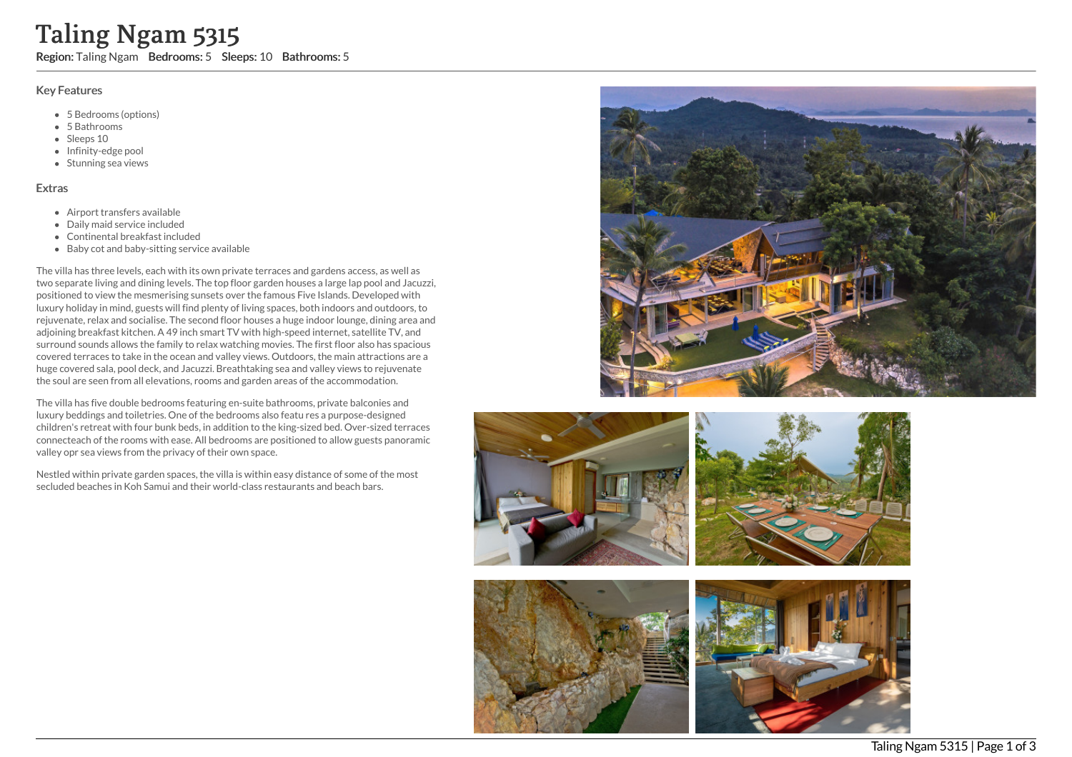## Taling Ngam 5315

Region: Taling Ngam Bedrooms: 5 Sleeps: 10 Bathrooms: 5

## Key Features

- 5 Bedrooms (options)
- 5 Bathrooms
- Sleeps 10
- Infinity-edge pool
- Stunning sea views

## Extras

- Airport transfers available
- Daily maid service included
- Continental breakfast included
- Baby cot and baby-sitting service available

The villa has three levels, each with its own private terraces and gardens access, as well as two separate living and dining levels. The top floor garden houses a large lap pool and Jacuzzi, positioned to view the mesmerising sunsets over the famous Five Islands. Developed with luxury holiday in mind, guests will find plenty of living spaces, both indoors and outdoors, to rejuvenate, relax and socialise. The second floor houses a huge indoor lounge, dining area and adjoining breakfast kitchen. A 49 inch smart TV with high-speed internet, satellite TV, and surround sounds allows the family to relax watching movies. The first floor also has spacious covered terraces to take in the ocean and valley views. Outdoors, the main attractions are a huge covered sala, pool deck, and Jacuzzi. Breathtaking sea and valley views to rejuvenate the soul are seen from all elevations, rooms and garden areas of the accommodation.

The villa has five double bedrooms featuring en-suite bathrooms, private balconies and luxury beddings and toiletries. One of the bedrooms also featu res a purpose-designed children's retreat with four bunk beds, in addition to the king-sized bed. Over-sized terraces connecteach of the rooms with ease. All bedrooms are positioned to allow guests panoramic valley opr sea views from the privacy of their own space.

Nestled within private garden spaces, the villa is within easy distance of some of the most secluded beaches in Koh Samui and their world-class restaurants and beach bars.



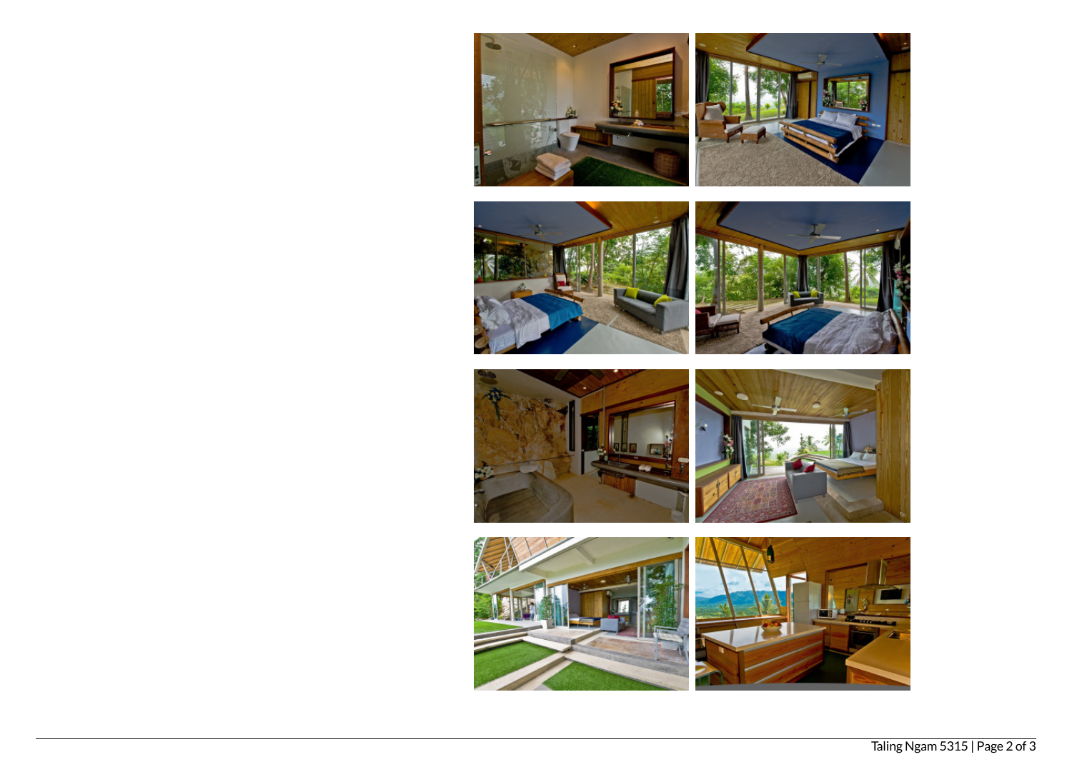